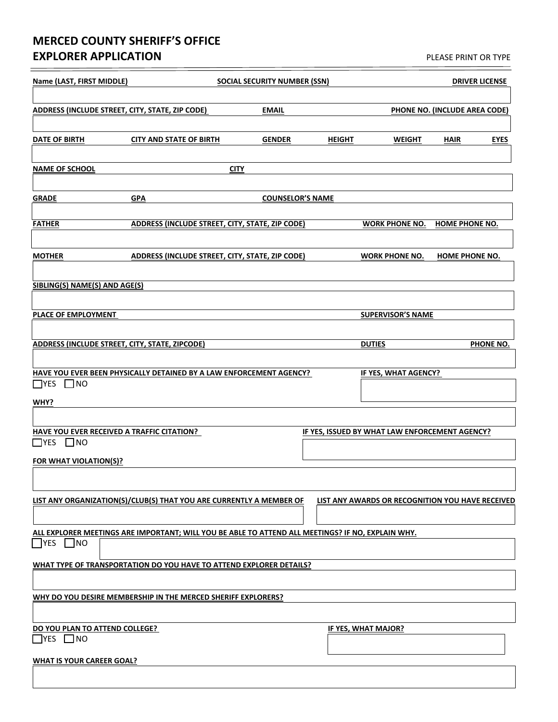## **MERCED COUNTY SHERIFF'S OFFICE EXPLORER APPLICATION EXPLORER APPLICATION**

| Name (LAST, FIRST MIDDLE)                                                                   | <b>SOCIAL SECURITY NUMBER (SSN)</b>                                                               |                         |               | <b>DRIVER LICENSE</b>                            |                       |             |  |
|---------------------------------------------------------------------------------------------|---------------------------------------------------------------------------------------------------|-------------------------|---------------|--------------------------------------------------|-----------------------|-------------|--|
| ADDRESS (INCLUDE STREET, CITY, STATE, ZIP CODE)<br><b>EMAIL</b>                             |                                                                                                   |                         |               | PHONE NO. (INCLUDE AREA CODE)                    |                       |             |  |
| DATE OF BIRTH                                                                               | <b>CITY AND STATE OF BIRTH</b>                                                                    | <b>GENDER</b>           | <b>HEIGHT</b> | <b>WEIGHT</b>                                    | <b>HAIR</b>           | <b>EYES</b> |  |
| <b>NAME OF SCHOOL</b>                                                                       |                                                                                                   | <b>CITY</b>             |               |                                                  |                       |             |  |
| <b>GRADE</b>                                                                                | <b>GPA</b>                                                                                        | <b>COUNSELOR'S NAME</b> |               |                                                  |                       |             |  |
| <b>FATHER</b>                                                                               | ADDRESS (INCLUDE STREET, CITY, STATE, ZIP CODE)                                                   |                         |               | <b>WORK PHONE NO.</b>                            | <b>HOME PHONE NO.</b> |             |  |
| <b>MOTHER</b>                                                                               | ADDRESS (INCLUDE STREET, CITY, STATE, ZIP CODE)                                                   |                         |               | <b>WORK PHONE NO.</b>                            | <b>HOME PHONE NO.</b> |             |  |
| SIBLING(S) NAME(S) AND AGE(S)                                                               |                                                                                                   |                         |               |                                                  |                       |             |  |
| PLACE OF EMPLOYMENT                                                                         |                                                                                                   |                         |               | <b>SUPERVISOR'S NAME</b>                         |                       |             |  |
| <b>ADDRESS (INCLUDE STREET, CITY, STATE, ZIPCODE)</b>                                       |                                                                                                   |                         |               | <b>DUTIES</b>                                    |                       | PHONE NO.   |  |
| HAVE YOU EVER BEEN PHYSICALLY DETAINED BY A LAW ENFORCEMENT AGENCY?<br>$\Box$ YES $\Box$ NO |                                                                                                   |                         |               | IF YES, WHAT AGENCY?                             |                       |             |  |
| WHY?                                                                                        |                                                                                                   |                         |               |                                                  |                       |             |  |
| HAVE YOU EVER RECEIVED A TRAFFIC CITATION?                                                  |                                                                                                   |                         |               | IF YES, ISSUED BY WHAT LAW ENFORCEMENT AGENCY?   |                       |             |  |
| $\Box$ YES<br>$\square$ NO                                                                  |                                                                                                   |                         |               |                                                  |                       |             |  |
| FOR WHAT VIOLATION(S)?                                                                      |                                                                                                   |                         |               |                                                  |                       |             |  |
|                                                                                             |                                                                                                   |                         |               |                                                  |                       |             |  |
|                                                                                             | LIST ANY ORGANIZATION(S)/CLUB(S) THAT YOU ARE CURRENTLY A MEMBER OF                               |                         |               | LIST ANY AWARDS OR RECOGNITION YOU HAVE RECEIVED |                       |             |  |
| $\neg$ YES<br>]NO                                                                           | ALL EXPLORER MEETINGS ARE IMPORTANT; WILL YOU BE ABLE TO ATTEND ALL MEETINGS? IF NO, EXPLAIN WHY. |                         |               |                                                  |                       |             |  |
| WHAT TYPE OF TRANSPORTATION DO YOU HAVE TO ATTEND EXPLORER DETAILS?                         |                                                                                                   |                         |               |                                                  |                       |             |  |
| WHY DO YOU DESIRE MEMBERSHIP IN THE MERCED SHERIFF EXPLORERS?                               |                                                                                                   |                         |               |                                                  |                       |             |  |
|                                                                                             |                                                                                                   |                         |               |                                                  |                       |             |  |
| DO YOU PLAN TO ATTEND COLLEGE?<br>$\Box$ YES $\Box$ NO                                      |                                                                                                   |                         |               | <b>IF YES, WHAT MAJOR?</b>                       |                       |             |  |
| <b>WHAT IS YOUR CAREER GOAL?</b>                                                            |                                                                                                   |                         |               |                                                  |                       |             |  |
|                                                                                             |                                                                                                   |                         |               |                                                  |                       |             |  |